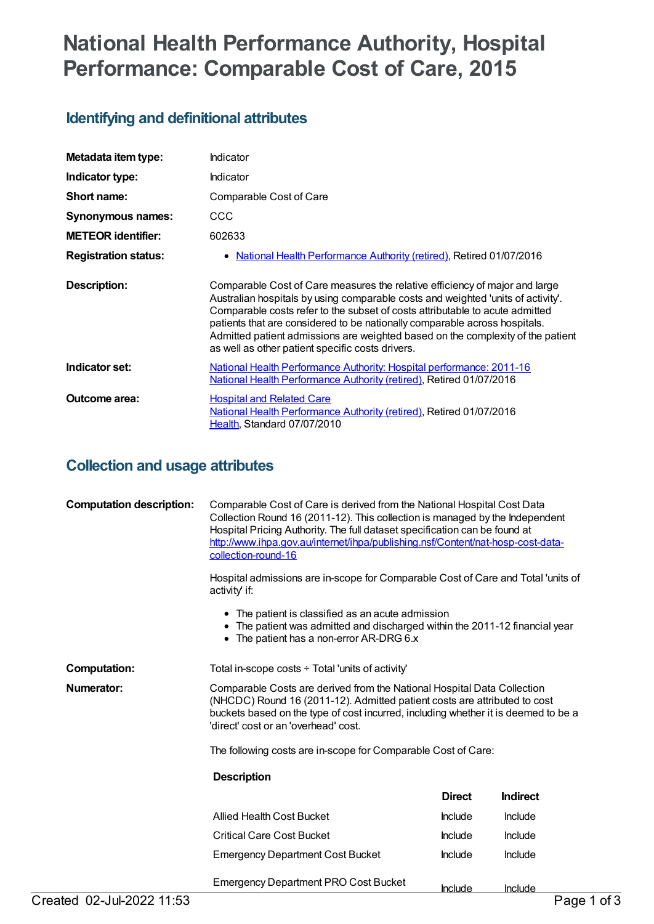# **National Health Performance Authority, Hospital Performance: Comparable Cost of Care, 2015**

# **Identifying and definitional attributes**

| Metadata item type:         | Indicator                                                                                                                                                                                                                                                                                                                                                                                                                                                            |
|-----------------------------|----------------------------------------------------------------------------------------------------------------------------------------------------------------------------------------------------------------------------------------------------------------------------------------------------------------------------------------------------------------------------------------------------------------------------------------------------------------------|
| Indicator type:             | <b>Indicator</b>                                                                                                                                                                                                                                                                                                                                                                                                                                                     |
| Short name:                 | Comparable Cost of Care                                                                                                                                                                                                                                                                                                                                                                                                                                              |
| Synonymous names:           | CCC                                                                                                                                                                                                                                                                                                                                                                                                                                                                  |
| <b>METEOR identifier:</b>   | 602633                                                                                                                                                                                                                                                                                                                                                                                                                                                               |
| <b>Registration status:</b> | National Health Performance Authority (retired), Retired 01/07/2016<br>٠                                                                                                                                                                                                                                                                                                                                                                                             |
| <b>Description:</b>         | Comparable Cost of Care measures the relative efficiency of major and large<br>Australian hospitals by using comparable costs and weighted 'units of activity'.<br>Comparable costs refer to the subset of costs attributable to acute admitted<br>patients that are considered to be nationally comparable across hospitals.<br>Admitted patient admissions are weighted based on the complexity of the patient<br>as well as other patient specific costs drivers. |
| Indicator set:              | <u>National Health Performance Authority: Hospital performance: 2011-16</u><br>National Health Performance Authority (retired), Retired 01/07/2016                                                                                                                                                                                                                                                                                                                   |
| Outcome area:               | <b>Hospital and Related Care</b><br>National Health Performance Authority (retired), Retired 01/07/2016<br>Health, Standard 07/07/2010                                                                                                                                                                                                                                                                                                                               |

# **Collection and usage attributes**

| <b>Computation description:</b> | Comparable Cost of Care is derived from the National Hospital Cost Data<br>Collection Round 16 (2011-12). This collection is managed by the Independent<br>Hospital Pricing Authority. The full dataset specification can be found at<br>http://www.ihpa.gov.au/internet/ihpa/publishing.nsf/Content/nat-hosp-cost-data-<br>collection-round-16<br>Hospital admissions are in-scope for Comparable Cost of Care and Total 'units of<br>activity' if:<br>• The patient is classified as an acute admission<br>• The patient was admitted and discharged within the 2011-12 financial year<br>• The patient has a non-error AR-DRG 6.x |               |                 |
|---------------------------------|--------------------------------------------------------------------------------------------------------------------------------------------------------------------------------------------------------------------------------------------------------------------------------------------------------------------------------------------------------------------------------------------------------------------------------------------------------------------------------------------------------------------------------------------------------------------------------------------------------------------------------------|---------------|-----------------|
| <b>Computation:</b>             | Total in-scope costs $\div$ Total 'units of activity'                                                                                                                                                                                                                                                                                                                                                                                                                                                                                                                                                                                |               |                 |
| Numerator:                      | Comparable Costs are derived from the National Hospital Data Collection<br>(NHCDC) Round 16 (2011-12). Admitted patient costs are attributed to cost<br>buckets based on the type of cost incurred, including whether it is deemed to be a<br>'direct' cost or an 'overhead' cost.                                                                                                                                                                                                                                                                                                                                                   |               |                 |
|                                 | The following costs are in-scope for Comparable Cost of Care:                                                                                                                                                                                                                                                                                                                                                                                                                                                                                                                                                                        |               |                 |
|                                 | <b>Description</b>                                                                                                                                                                                                                                                                                                                                                                                                                                                                                                                                                                                                                   |               |                 |
|                                 |                                                                                                                                                                                                                                                                                                                                                                                                                                                                                                                                                                                                                                      | <b>Direct</b> | <b>Indirect</b> |
|                                 | <b>Allied Health Cost Bucket</b>                                                                                                                                                                                                                                                                                                                                                                                                                                                                                                                                                                                                     | Include       | <b>Include</b>  |
|                                 | <b>Critical Care Cost Bucket</b>                                                                                                                                                                                                                                                                                                                                                                                                                                                                                                                                                                                                     | Include       | <b>Include</b>  |
|                                 | <b>Emergency Department Cost Bucket</b>                                                                                                                                                                                                                                                                                                                                                                                                                                                                                                                                                                                              | Include       | Include         |
|                                 | <b>Emergency Department PRO Cost Bucket</b>                                                                                                                                                                                                                                                                                                                                                                                                                                                                                                                                                                                          | Include       | Include         |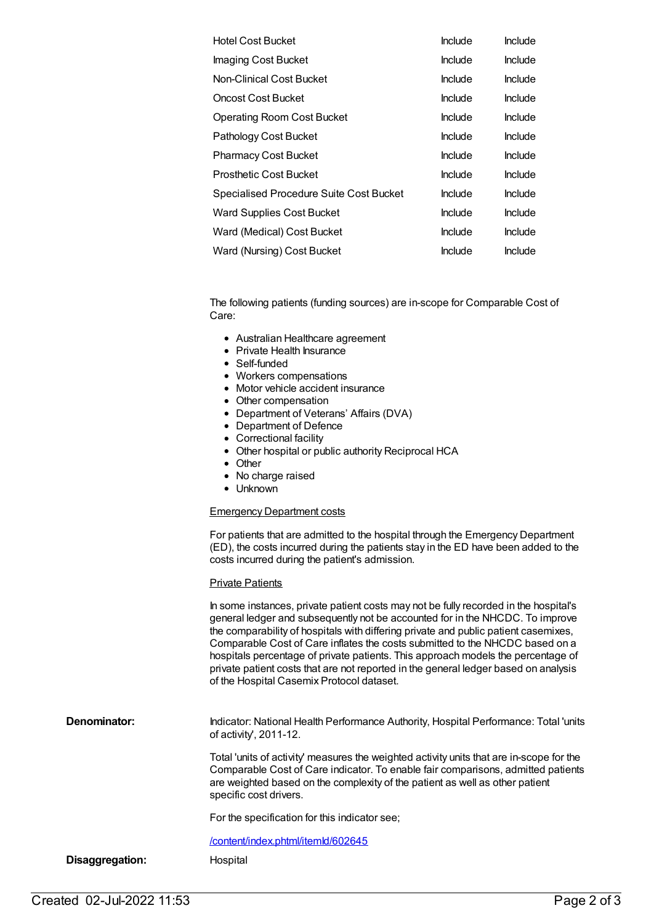| <b>Hotel Cost Bucket</b>                | Include | Include        |
|-----------------------------------------|---------|----------------|
| Imaging Cost Bucket                     | Include | <b>Include</b> |
| Non-Clinical Cost Bucket                | Include | <b>Include</b> |
| <b>Oncost Cost Bucket</b>               | Include | <b>Include</b> |
| <b>Operating Room Cost Bucket</b>       | Include | <b>Include</b> |
| Pathology Cost Bucket                   | Include | <b>Include</b> |
| <b>Pharmacy Cost Bucket</b>             | Include | <b>Include</b> |
| <b>Prosthetic Cost Bucket</b>           | Include | <b>Include</b> |
| Specialised Procedure Suite Cost Bucket | Include | <b>Include</b> |
| <b>Ward Supplies Cost Bucket</b>        | Include | <b>Include</b> |
| Ward (Medical) Cost Bucket              | Include | <b>Include</b> |
| Ward (Nursing) Cost Bucket              | Include | <b>Include</b> |

The following patients (funding sources) are in-scope for Comparable Cost of Care:

- Australian Healthcare agreement
- Private Health Insurance
- Self-funded
- Workers compensations
- Motor vehicle accident insurance
- Other compensation
- Department of Veterans' Affairs (DVA)
- Department of Defence
- Correctional facility
- Other hospital or public authority Reciprocal HCA
- Other
- No charge raised
- $\bullet$  Unknown

#### Emergency Department costs

For patients that are admitted to the hospital through the Emergency Department (ED), the costs incurred during the patients stay in the ED have been added to the costs incurred during the patient's admission.

#### **Private Patients**

|                 | In some instances, private patient costs may not be fully recorded in the hospital's<br>general ledger and subsequently not be accounted for in the NHCDC. To improve<br>the comparability of hospitals with differing private and public patient casemixes,<br>Comparable Cost of Care inflates the costs submitted to the NHCDC based on a<br>hospitals percentage of private patients. This approach models the percentage of<br>private patient costs that are not reported in the general ledger based on analysis<br>of the Hospital Casemix Protocol dataset. |
|-----------------|----------------------------------------------------------------------------------------------------------------------------------------------------------------------------------------------------------------------------------------------------------------------------------------------------------------------------------------------------------------------------------------------------------------------------------------------------------------------------------------------------------------------------------------------------------------------|
| Denominator:    | Indicator: National Health Performance Authority, Hospital Performance: Total 'units<br>of activity', $2011-12$ .                                                                                                                                                                                                                                                                                                                                                                                                                                                    |
|                 | Total 'units of activity' measures the weighted activity units that are in-scope for the<br>Comparable Cost of Care indicator. To enable fair comparisons, admitted patients<br>are weighted based on the complexity of the patient as well as other patient<br>specific cost drivers.                                                                                                                                                                                                                                                                               |
|                 | For the specification for this indicator see:                                                                                                                                                                                                                                                                                                                                                                                                                                                                                                                        |
|                 | /content/index.phtml/itemld/602645                                                                                                                                                                                                                                                                                                                                                                                                                                                                                                                                   |
| Disaggregation: | Hospital                                                                                                                                                                                                                                                                                                                                                                                                                                                                                                                                                             |